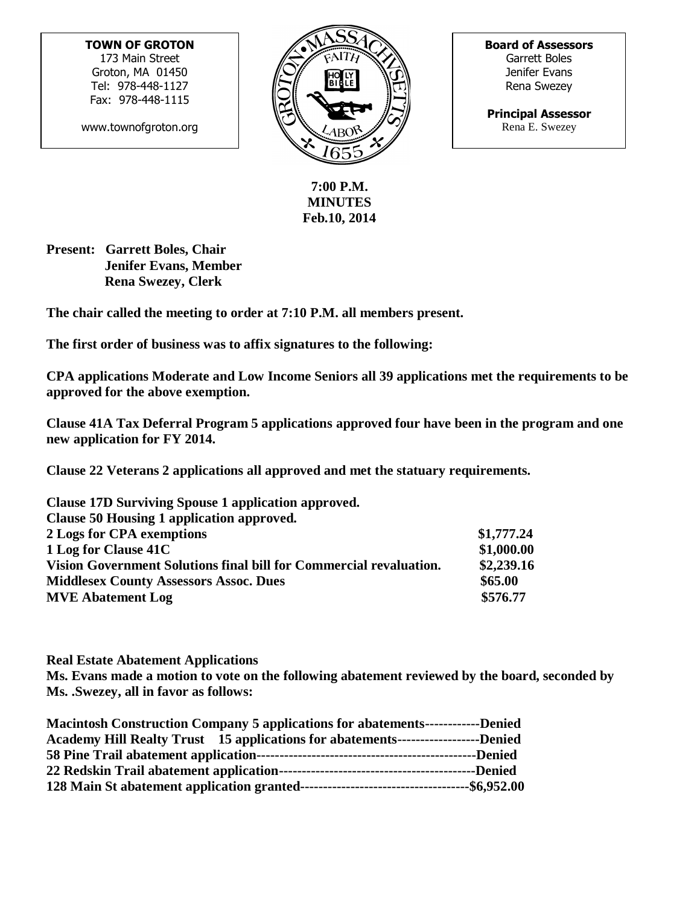**TOWN OF GROTON** 173 Main Street Groton, MA 01450 Tel: 978-448-1127 Fax: 978-448-1115

www.townofgroton.org



**Board of Assessors** Garrett Boles Jenifer Evans Rena Swezey

**Principal Assessor** Rena E. Swezey

**7:00 P.M. MINUTES Feb.10, 2014**

**Present: Garrett Boles, Chair Jenifer Evans, Member Rena Swezey, Clerk**

**The chair called the meeting to order at 7:10 P.M. all members present.**

**The first order of business was to affix signatures to the following:**

**CPA applications Moderate and Low Income Seniors all 39 applications met the requirements to be approved for the above exemption.**

**Clause 41A Tax Deferral Program 5 applications approved four have been in the program and one new application for FY 2014.**

**Clause 22 Veterans 2 applications all approved and met the statuary requirements.**

| Clause 17D Surviving Spouse 1 application approved.                |            |
|--------------------------------------------------------------------|------------|
| Clause 50 Housing 1 application approved.                          |            |
| 2 Logs for CPA exemptions                                          | \$1,777.24 |
| 1 Log for Clause 41C                                               | \$1,000.00 |
| Vision Government Solutions final bill for Commercial revaluation. | \$2,239.16 |
| <b>Middlesex County Assessors Assoc. Dues</b>                      | \$65.00    |
| <b>MVE Abatement Log</b>                                           | \$576.77   |

**Real Estate Abatement Applications**

**Ms. Evans made a motion to vote on the following abatement reviewed by the board, seconded by Ms. .Swezey, all in favor as follows:**

| <b>Macintosh Construction Company 5 applications for abatements------------Denied</b> |  |
|---------------------------------------------------------------------------------------|--|
| Academy Hill Realty Trust 15 applications for abatements----------------------Denied  |  |
|                                                                                       |  |
|                                                                                       |  |
|                                                                                       |  |